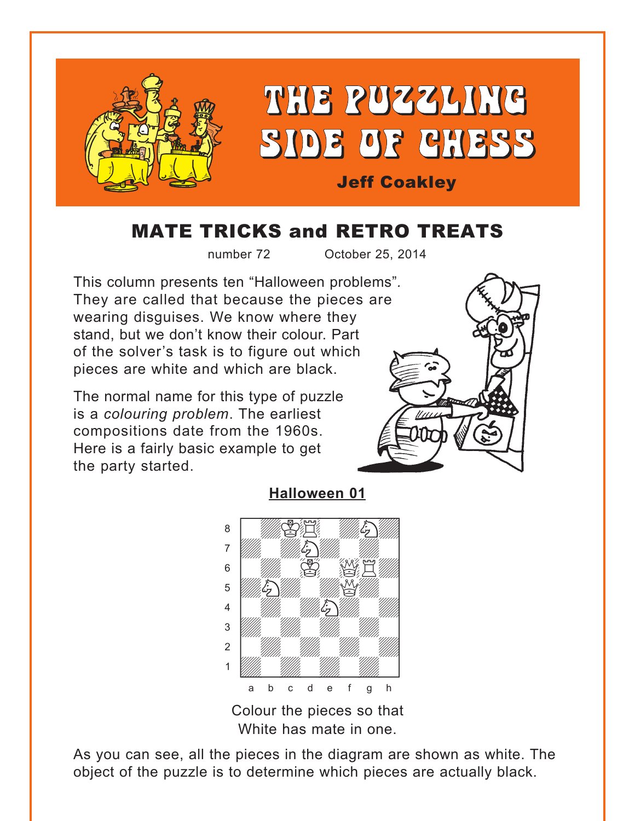<span id="page-0-0"></span>

# MATE TRICKS and RETRO TREATS

number 72 October 25, 2014

This column presents ten "Halloween problems"*.* They are called that because the pieces are wearing disguises. We know where they stand, but we don't know their colour. Part of the solver's task is to figure out which pieces are white and which are black.

The normal name for this type of puzzle is a *colouring problem*. The earliest compositions date from the 1960s. Here is a fairly basic example to get the party started.



**[Halloween 01](#page-7-0)**



Colour the pieces so that White has mate in one.

As you can see, all the pieces in the diagram are shown as white. The object of the puzzle is to determine which pieces are actually black.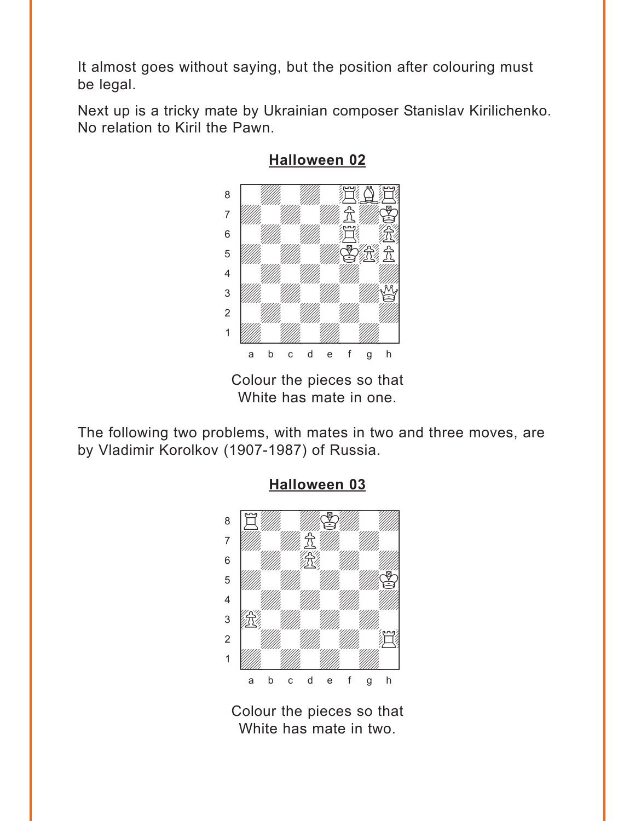<span id="page-1-0"></span>It almost goes without saying, but the position after colouring must be legal.

Next up is a tricky mate by Ukrainian composer Stanislav Kirilichenko. No relation to Kiril the Pawn.



**[Halloween 02](#page-7-0)**

The following two problems, with mates in two and three moves, are by Vladimir Korolkov (1907-1987) of Russia.



#### **[Halloween 03](#page-8-0)**

Colour the pieces so that White has mate in two.

Colour the pieces so that White has mate in one.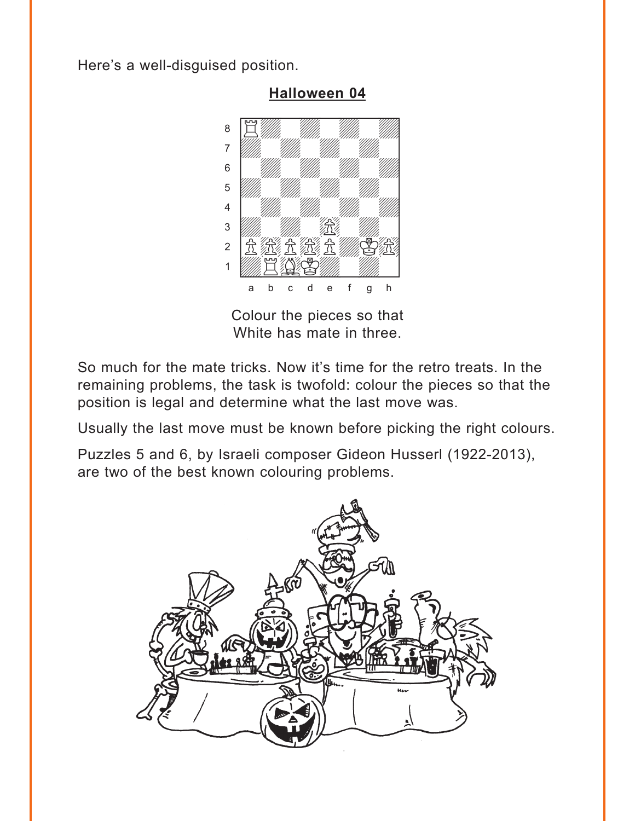<span id="page-2-0"></span>Here's a well-disguised position.



Colour the pieces so that

White has mate in three.

So much for the mate tricks. Now it's time for the retro treats. In the remaining problems, the task is twofold: colour the pieces so that the position is legal and determine what the last move was.

Usually the last move must be known before picking the right colours.

Puzzles 5 and 6, by Israeli composer Gideon Husserl (1922-2013), are two of the best known colouring problems.



**[Halloween 04](#page-9-0)**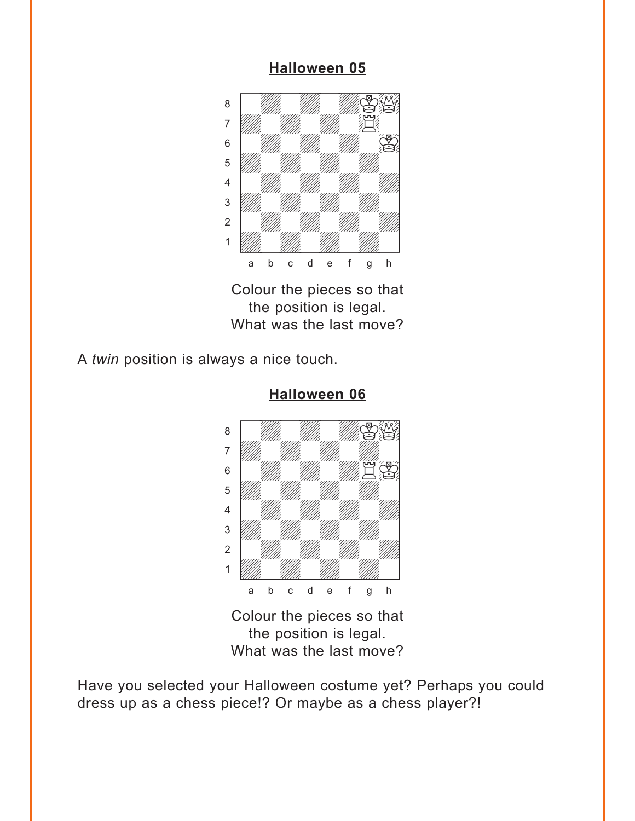### **[Halloween 05](#page-9-0)**

<span id="page-3-0"></span>

Colour the pieces so that the position is legal. What was the last move?

A *twin* position is always a nice touch.



## **[Halloween 06](#page-10-0)**

Colour the pieces so that the position is legal. What was the last move?

Have you selected your Halloween costume yet? Perhaps you could dress up as a chess piece!? Or maybe as a chess player?!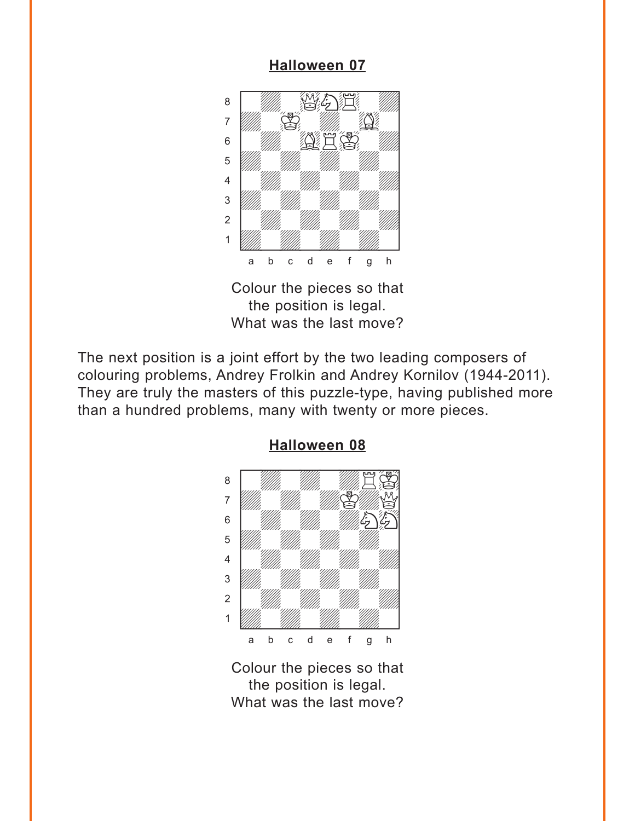### **[Halloween 07](#page-10-0)**

<span id="page-4-0"></span>

Colour the pieces so that the position is legal. What was the last move?

The next position is a joint effort by the two leading composers of colouring problems, Andrey Frolkin and Andrey Kornilov (1944-2011). They are truly the masters of this puzzle-type, having published more than a hundred problems, many with twenty or more pieces.



### **[Halloween 08](#page-11-0)**

Colour the pieces so that the position is legal. What was the last move?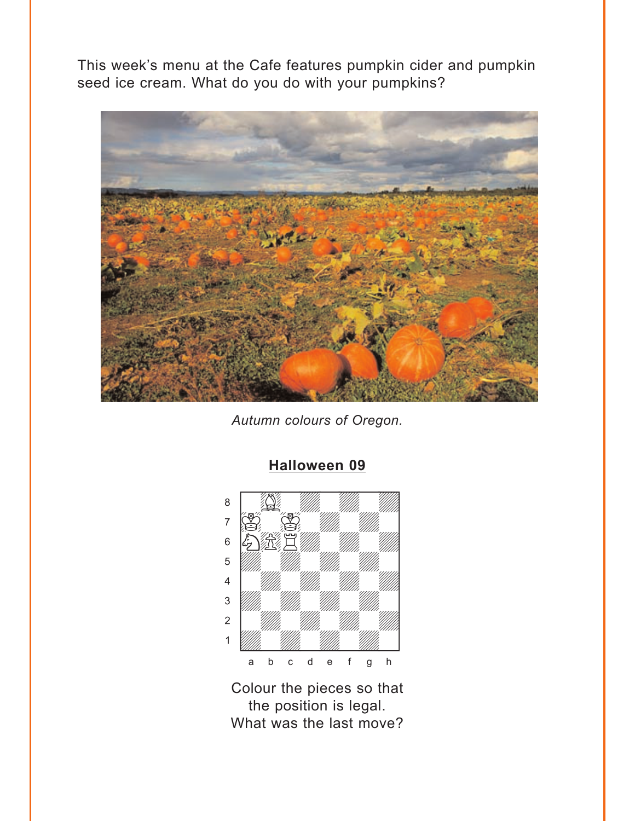<span id="page-5-0"></span>This week's menu at the Cafe features pumpkin cider and pumpkin seed ice cream. What do you do with your pumpkins?



*Autumn colours of Oregon.*



# **[Halloween 09](#page-11-0)**

Colour the pieces so that the position is legal. What was the last move?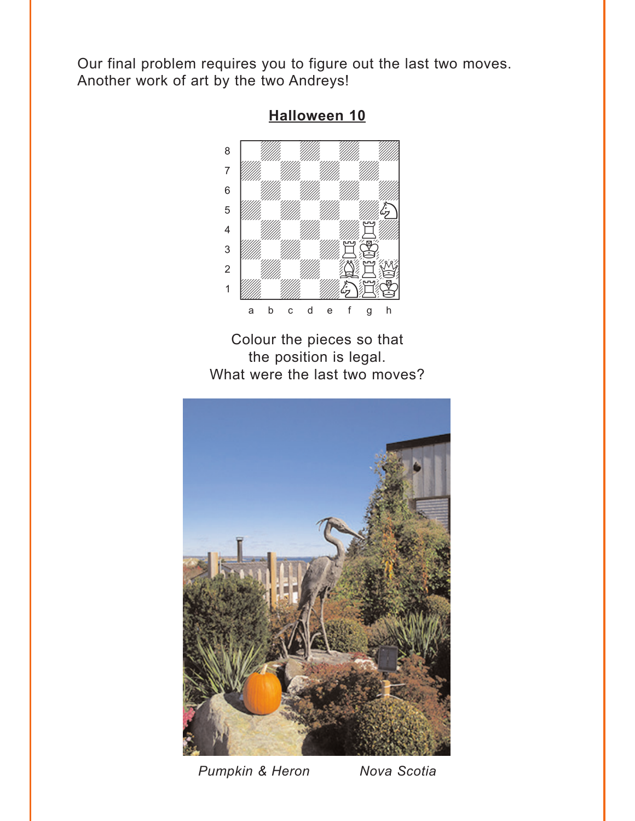<span id="page-6-0"></span>Our final problem requires you to figure out the last two moves. Another work of art by the two Andreys!



**[Halloween 10](#page-13-0)**

Colour the pieces so that the position is legal. What were the last two moves?



*Pumpkin & Heron Nova Scotia*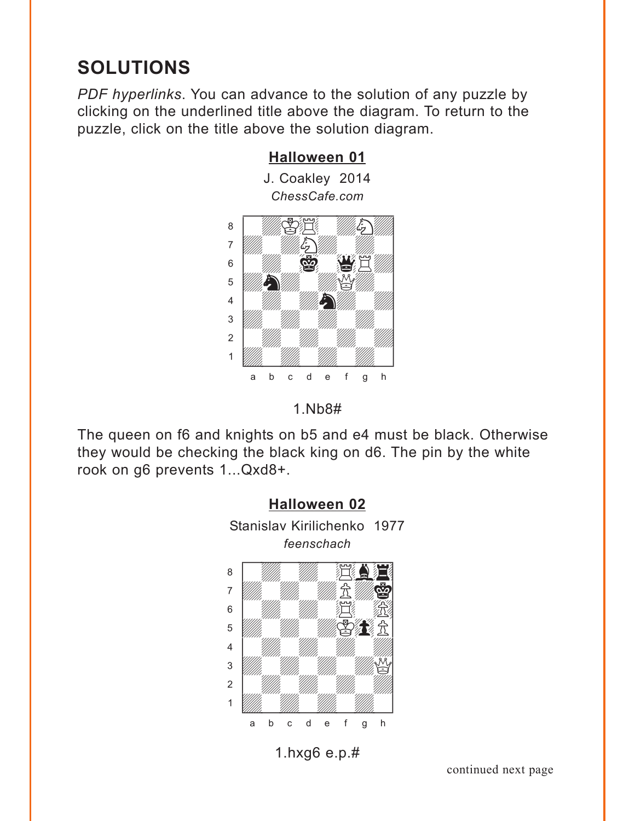# <span id="page-7-0"></span>**SOLUTIONS**

*PDF hyperlinks*. You can advance to the solution of any puzzle by clicking on the underlined title above the diagram. To return to the puzzle, click on the title above the solution diagram.





The queen on f6 and knights on b5 and e4 must be black. Otherwise they would be checking the black king on d6. The pin by the white rook on g6 prevents 1...Qxd8+.



# 1.hxg6 e.p.#

continued next page

## **[Halloween 01](#page-0-0)**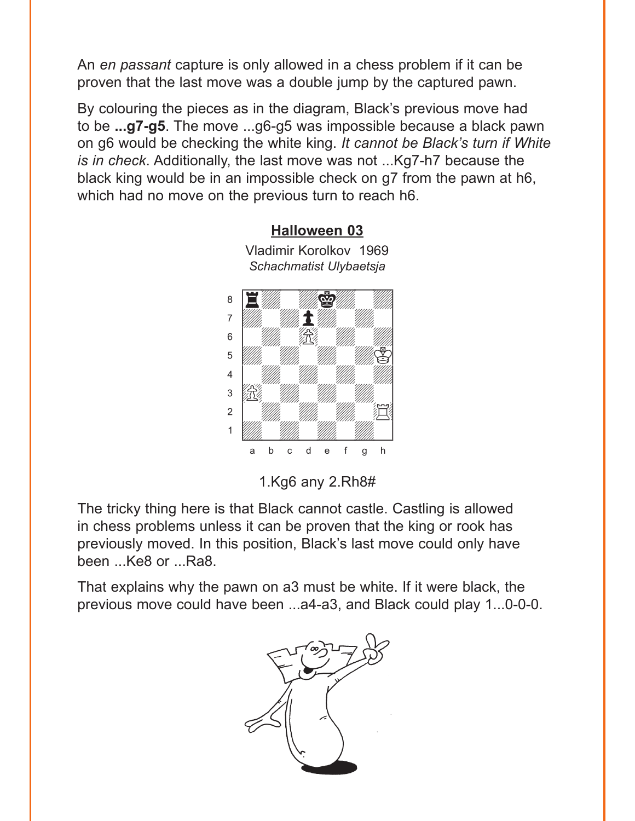<span id="page-8-0"></span>An *en passant* capture is only allowed in a chess problem if it can be proven that the last move was a double jump by the captured pawn.

By colouring the pieces as in the diagram, Black's previous move had to be **...g7-g5**. The move ...g6-g5 was impossible because a black pawn on g6 would be checking the white king. *It cannot be Black's turn if White is in check*. Additionally, the last move was not ...Kg7-h7 because the black king would be in an impossible check on g7 from the pawn at h6, which had no move on the previous turn to reach h6.



Vladimir Korolkov 1969 *Schachmatist Ulybaetsja*

**[Halloween 03](#page-1-0)**

1.Kg6 any 2.Rh8#

The tricky thing here is that Black cannot castle. Castling is allowed in chess problems unless it can be proven that the king or rook has previously moved. In this position, Black's last move could only have been ...Ke8 or ...Ra8.

That explains why the pawn on a3 must be white. If it were black, the previous move could have been ...a4-a3, and Black could play 1...0-0-0.

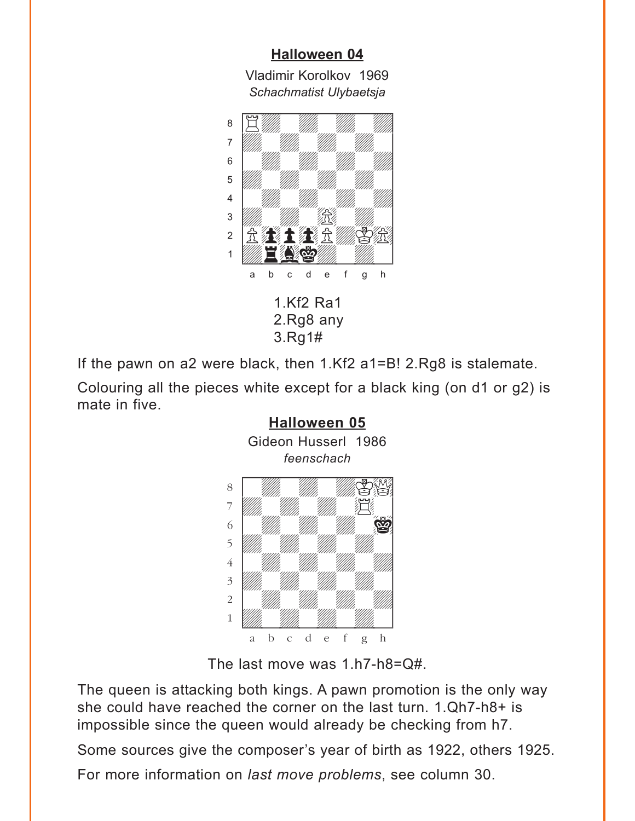### **[Halloween 04](#page-2-0)** Vladimir Korolkov 1969

*Schachmatist Ulybaetsja*

<span id="page-9-0"></span>

If the pawn on a2 were black, then 1.Kf2 a1=B! 2.Rg8 is stalemate.

Colouring all the pieces white except for a black king (on d1 or g2) is mate in five.



The last move was 1.h7-h8=Q#.

The queen is attacking both kings. A pawn promotion is the only way she could have reached the corner on the last turn. 1.Qh7-h8+ is impossible since the queen would already be checking from h7.

Some sources give the composer's year of birth as 1922, others 1925.

For more information on *last move problems*, see column 30.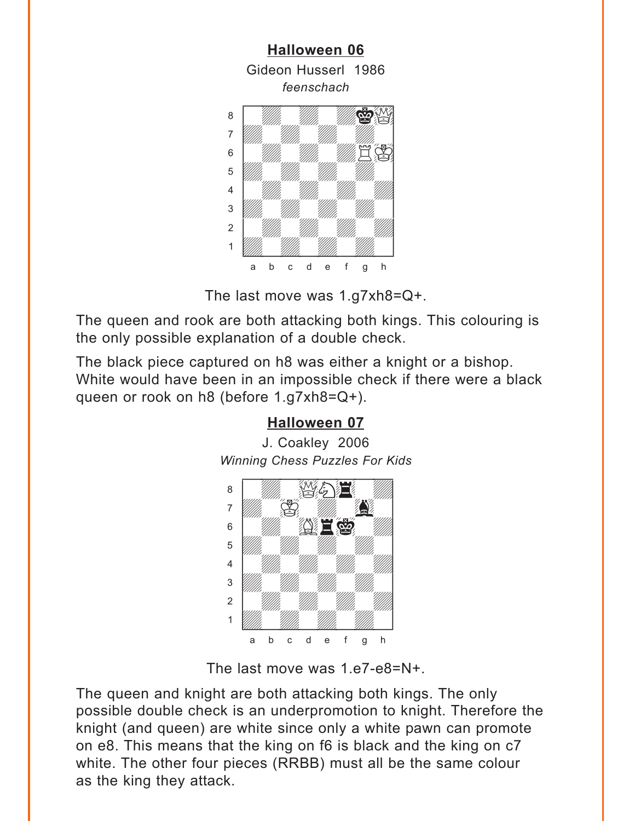<span id="page-10-0"></span>

The last move was 1.g7xh8=Q+.

The queen and rook are both attacking both kings. This colouring is the only possible explanation of a double check.

The black piece captured on h8 was either a knight or a bishop. White would have been in an impossible check if there were a black queen or rook on h8 (before 1.g7xh8=Q+).

# **[Halloween 07](#page-4-0)**

J. Coakley 2006 *Winning Chess Puzzles For Kids* w\_\_\_\_\_\_\_\_w



The last move was 1.e7-e8=N+.

The queen and knight are both attacking both kings. The only possible double check is an underpromotion to knight. Therefore the knight (and queen) are white since only a white pawn can promote on e8. This means that the king on f6 is black and the king on c7 white. The other four pieces (RRBB) must all be the same colour as the king they attack.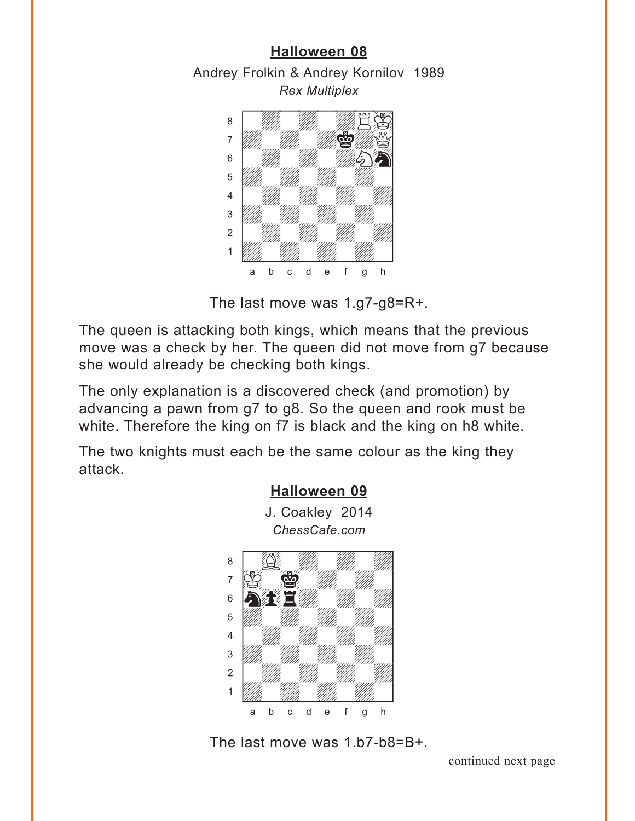## **[Halloween 08](#page-4-0)**

<span id="page-11-0"></span>Andrey Frolkin & Andrey Kornilov 1989 *Rex Multiplex*



The last move was 1.g7-g8=R+.

The queen is attacking both kings, which means that the previous move was a check by her. The queen did not move from g7 because she would already be checking both kings.

The only explanation is a discovered check (and promotion) by advancing a pawn from g7 to g8. So the queen and rook must be white. Therefore the king on f7 is black and the king on h8 white.

The two knights must each be the same colour as the king they attack.



The last move was 1.b7-b8=B+.

continued next page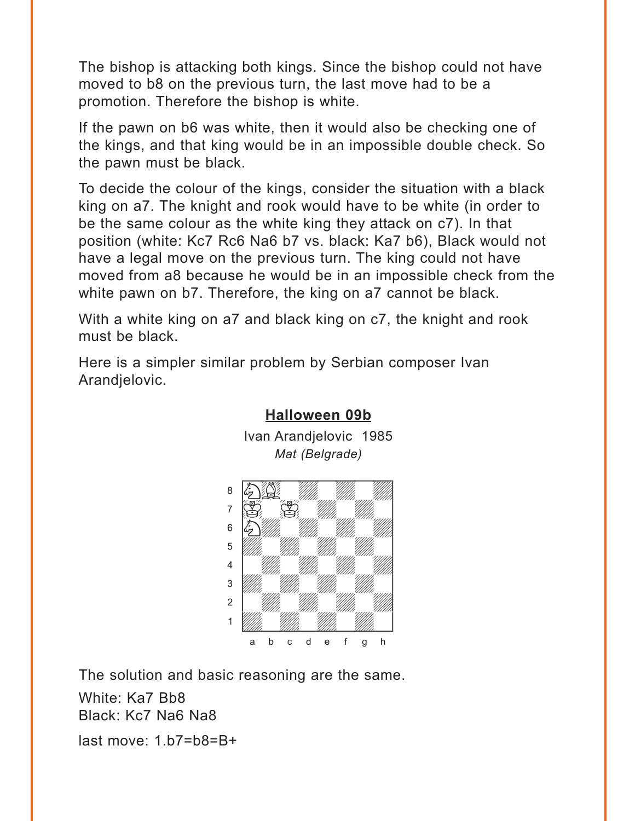The bishop is attacking both kings. Since the bishop could not have moved to b8 on the previous turn, the last move had to be a promotion. Therefore the bishop is white.

If the pawn on b6 was white, then it would also be checking one of the kings, and that king would be in an impossible double check. So the pawn must be black.

To decide the colour of the kings, consider the situation with a black king on a7. The knight and rook would have to be white (in order to be the same colour as the white king they attack on c7). In that position (white: Kc7 Rc6 Na6 b7 vs. black: Ka7 b6), Black would not have a legal move on the previous turn. The king could not have moved from a8 because he would be in an impossible check from the white pawn on b7. Therefore, the king on a7 cannot be black.

With a white king on a7 and black king on c7, the knight and rook must be black.

Here is a simpler similar problem by Serbian composer Ivan Arandjelovic.



#### **[Halloween 09b](#page-5-0)**

Ivan Arandjelovic 1985 *Mat (Belgrade)*

The solution and basic reasoning are the same. White: Ka7 Bb8 Black: Kc7 Na6 Na8 last move: 1.b7=b8=B+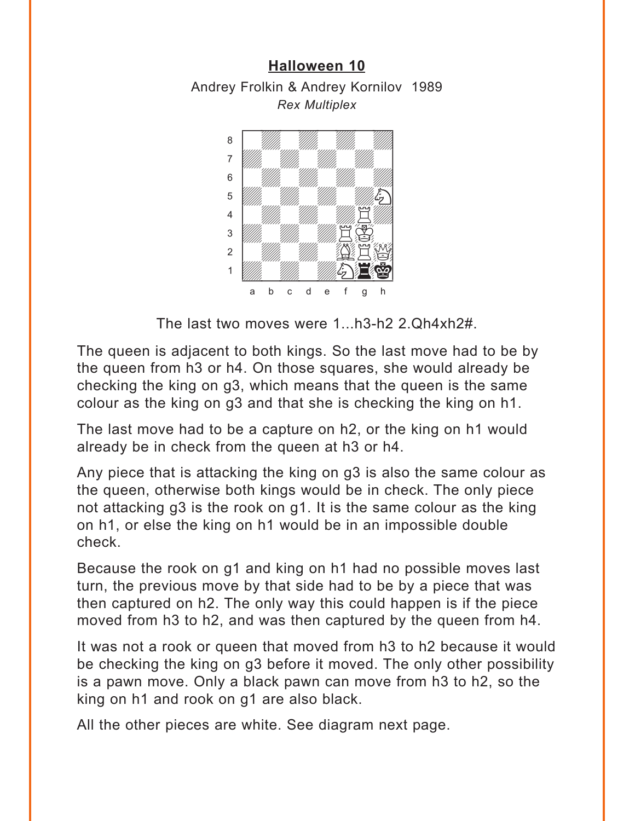# <span id="page-13-0"></span>**[Halloween 10](#page-6-0)** Andrey Frolkin & Andrey Kornilov 1989 *Rex Multiplex*



The last two moves were 1...h3-h2 2.Qh4xh2#.

The queen is adjacent to both kings. So the last move had to be by the queen from h3 or h4. On those squares, she would already be checking the king on g3, which means that the queen is the same colour as the king on g3 and that she is checking the king on h1.

The last move had to be a capture on h2, or the king on h1 would already be in check from the queen at h3 or h4.

Any piece that is attacking the king on g3 is also the same colour as the queen, otherwise both kings would be in check. The only piece not attacking g3 is the rook on g1. It is the same colour as the king on h1, or else the king on h1 would be in an impossible double check.

Because the rook on g1 and king on h1 had no possible moves last turn, the previous move by that side had to be by a piece that was then captured on h2. The only way this could happen is if the piece moved from h3 to h2, and was then captured by the queen from h4.

It was not a rook or queen that moved from h3 to h2 because it would be checking the king on g3 before it moved. The only other possibility is a pawn move. Only a black pawn can move from h3 to h2, so the king on h1 and rook on g1 are also black.

All the other pieces are white. See diagram next page.